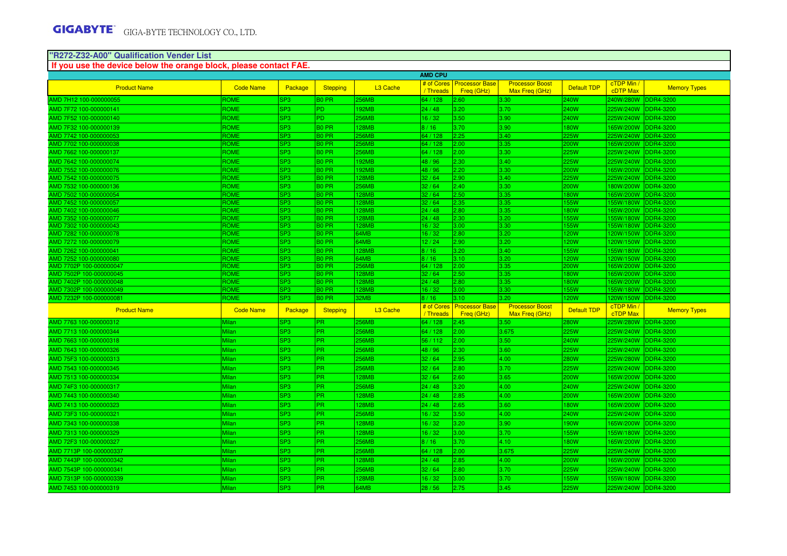#### **"R272-Z32-A00" Qualification Vender List**

#### Product Name Code Name Package Stepping L3 Cache # of Cores Processor Base<br>/ Threads Freg (GHz) ls Processor Base Processor Boost Befault TDP cTDP Min / Memory Types<br>s Freq (GHz) Max Freq (GHz) Default TDP cDTP Max Memory Types AMD 7H12 100-000000055 ROME SP3 B0 PR 256MB 64 / 128 2.60 3.30 240W 240W/280W DDR4-3200 AMD 7F72 100-000000141 ROME SP3 PD 192MB 24 / 48 3.20 3.70 240W 225W/240W DDR4-3200 AMD 7F52 100-000000140 ROME SP3 PD 256MB 16 / 32 3.50 3.90 240W 225W/240W DDR4-3200 AMD 7F32 100-000000139 ROME SP3 B0 PR 128MB 8 / 16 3.70 3.90 180W 165W/200W DDR4-3200 AMD 7742 100-000000053 ROME SP3 B0 PR 256MB 64 / 128 2.25 3.40 225W 225W/240W DDR4-3200 AMD 7702 100-000000038 ROME SP3 B0 PR 256MB 64 / 128 2.00 3.35 200W 165W/200W DDR4-3200 AMD 7662 100-000000137 ROME SP3 B0 PR 256MB 64 / 128 2.00 3.30 225W 225W/240W DDR4-3200 AMD 7642 100-000000074 ROME SP3 B0 PR 192MB 48 / 96 2.30 3.40 225W 225W/240W DDR4-3200 AMD 7552 100-000000076 ROME SP3 B0 PR 192MB 48 / 96 2.20 3.30 200W 165W/200W DDR4-3200 AMD 7542 100-000000075 ROME SP3 B0 PR 128MB 32 / 64 2.90 3.40 225W 225W/240W DDR4-3200 AMD 7532 100-000000136 ROME SP3 B0 PR 256MB 32 / 64 2.40 3.30 200W 180W/200W DDR4-3200 AMD 7502 100-000000054 ROME SP3 B0 PR 128MB 32 / 64 2.50 3.35 180W 165W/200W DDR4-3200 AMD 7452 100-000000057 ROME SP3 B0 PR 128MB 32 / 64 2.35 3.35 155W 155W/180W DDR4-3200 AMD 7402 100-000000046 ROME SP3 B0 PR 128MB 24 / 48 2.80 3.35 180W 165W/200W DDR4-3200 AMD 7352 100-000000077 ROME SP3 B0 PR 128MB 24 / 48 2.30 3.20 155W 155W/180W DDR4-3200 AMD 7302 100-000000043 ROME SP3 B0 PR 128MB 16 / 32 3.00 3.30 155W 155W/180W DDR4-3200 AMD 7282 100-000000078 ROME SP3 B0 PR 64MB 16 / 32 2.80 3.20 120W 120W/150W DDR4-3200 AMD 7272 100-000000079 ROME SP3 B0 PR 64MB 12 / 24 2.90 3.20 120W 120W/150W DDR4-3200 AMD 7262 100-000000041 ROME SP3 B0 PR 128MB 8 / 16 3.20 3.40 155W 155W/180W DDR4-3200 AMD 7252 100-000000080AMD 7702P 100-000000047AMD 7502P 100-000000045AMD 7402P 100-000000048AMD 7302P 100-000000049AMD 7232P 100-000000081Product Name **Code Name Product Name Package Stepping | Cache** e <mark># of Cores</mark><br>/ Threads AMD 7763 100-000000312  **If you use the device below the orange block, please contact FAE.AMD CPU**

| <b>AIVID TZUZ TUU-UUUUUUU+T</b> | שוישר            | <u>iora</u>     | ח חיס             | L COIVID.            | 10 / 10 <b>1</b> | י ש∠.ט                                          | 10.4V                                    | <b>LOOMA</b>       | <b>USC-HUULL MACCI</b> |                     |
|---------------------------------|------------------|-----------------|-------------------|----------------------|------------------|-------------------------------------------------|------------------------------------------|--------------------|------------------------|---------------------|
| AMD 7252 100-000000080          | <b>ROME</b>      | SP <sub>3</sub> | <b>BO PR</b>      | 64MB                 | 8/16             | 13.10                                           | 3.20                                     | <b>120W</b>        | 120W/150W DDR4-3200    |                     |
| AMD 7702P 100-000000047         | <b>ROME</b>      | SP <sub>3</sub> | <b>BO PR</b>      | <b>256MB</b>         | 64/128           | 2.00                                            | 3.35                                     | 200W               | 165W/200W DDR4-3200    |                     |
| AMD 7502P 100-000000045         | <b>ROME</b>      | SP <sub>3</sub> | <b>BO PR</b>      | <b>128MB</b>         | 32/64            | 2.50                                            | 3.35                                     | <b>180W</b>        | 165W/200W DDR4-3200    |                     |
| AMD 7402P 100-000000048         | <b>ROME</b>      | SP <sub>3</sub> | <b>BO PR</b>      | <b>128MB</b>         | 24/48            | $ 2.80\rangle$                                  | 3.35                                     | <b>180W</b>        | 165W/200W DDR4-3200    |                     |
| AMD 7302P 100-000000049         | <b>ROME</b>      | SP <sub>3</sub> | <b>BO PR</b>      | <b>128MB</b>         | 16/32            | 13.00                                           | 3.30                                     | <b>155W</b>        | 155W/180W DDR4-3200    |                     |
| AMD 7232P 100-000000081         | <b>ROME</b>      | SP <sub>3</sub> | B <sub>0</sub> PR | 32MB                 | 8/16             | 13.10                                           | 3.20                                     | <b>120W</b>        | 120W/150W              | DDR4-3200           |
| <b>Product Name</b>             | <b>Code Name</b> | Package         | <b>Stepping</b>   | L <sub>3</sub> Cache |                  | # of Cores Processor Base<br>Threads Freq (GHz) | <b>Processor Boost</b><br>Max Freg (GHz) | <b>Default TDP</b> | cTDP Min /<br>cTDP Max | <b>Memory Types</b> |
| AMD 7763 100-000000312          | Milan            | SP <sub>3</sub> | <b>IPR</b>        | 256MB                | 64 / 128         | 2.45                                            | 3.50                                     | 280W               | 225W/280W              | DDR4-3200           |
| AMD 7713 100-000000344          | Milan            | SP <sub>3</sub> | <b>IPR</b>        | <b>256MB</b>         | 64 / 128         | 2.00                                            | 3.675                                    | 225W               | 225W/240W              | <b>DDR4-3200</b>    |
| AMD 7663 100-000000318          | <b>Milan</b>     | SP <sub>3</sub> | <b>IPR</b>        | <b>256MB</b>         | 56 / 112         | 2.00                                            | 3.50                                     | 240W               | 225W/240W              | DDR4-3200           |
| AMD 7643 100-000000326          | Milan            | SP <sub>3</sub> | <b>PR</b>         | <b>256MB</b>         | 48 / 96          | 2.30                                            | 3.60                                     | <b>225W</b>        | 225W/240W DDR4-3200    |                     |
| AMD 75F3 100-000000313          | <b>Milan</b>     | SP <sub>3</sub> | <b>IPR</b>        | <b>256MB</b>         | 32/64            | 2.95                                            | 4.00                                     | <b>280W</b>        | 225W/280W DDR4-3200    |                     |
| AMD 7543 100-000000345          | <b>Milan</b>     | SP <sub>3</sub> | <b>IPR</b>        | <b>256MB</b>         | 32/64            | 2.80                                            | 3.70                                     | <b>225W</b>        | 225W/240W DDR4-3200    |                     |
| AMD 7513 100-000000334          | Milan            | SP <sub>3</sub> | <b>IPR</b>        | 128MB                | 32/64            | 2.60                                            | 3.65                                     | 200W               | 165W/200W              | DDR4-3200           |
| AMD 74F3 100-000000317          | <b>Milan</b>     | SP <sub>3</sub> | IPR.              | <b>256MB</b>         | 24/48            | 3.20                                            | 4.00                                     | 240W               | 225W/240W              | DDR4-3200           |
| AMD 7443 100-000000340          | Milan            | SP <sub>3</sub> | <b>IPR</b>        | 128MB                | 24/48            | 2.85                                            | 4.00                                     | 200W               | 165W/200W              | DDR4-3200           |
| AMD 7413 100-000000323          | <b>Milan</b>     | SP <sub>3</sub> | <b>IPR</b>        | 128MB                | 24/48            | 2.65                                            | 3.60                                     | <b>180W</b>        | 165W/200W DDR4-3200    |                     |
| AMD 73F3 100-000000321          | <b>Milan</b>     | <b>SP3</b>      | <b>IPR</b>        | <b>256MB</b>         | 16/32            | 3.50                                            | 4.00                                     | 240W               | 225W/240W DDR4-3200    |                     |
| AMD 7343 100-000000338          | Milan            | SP <sub>3</sub> | <b>IPR</b>        | <b>128MB</b>         | 16/32            | 3.20                                            | 3.90                                     | 190W               | 165W/200W DDR4-3200    |                     |
| AMD 7313 100-000000329          | Milan            | SP <sub>3</sub> | <b>IPR</b>        | 128MB                | 16/32            | 3.00                                            | 3.70                                     | <b>155W</b>        | 155W/180W              | DDR4-3200           |
| AMD 72F3 100-000000327          | <b>Milan</b>     | SP <sub>3</sub> | <b>IPR</b>        | <b>256MB</b>         | 8/16             | 3.70                                            | 4.10                                     | <b>180W</b>        | 165W/200W              | DDR4-3200           |
| AMD 7713P 100-000000337         | <b>Milan</b>     | SP <sub>3</sub> | <b>IPR</b>        | 256MB                | 64 / 128         | 2.00                                            | 3.675                                    | 225W               | 225W/240W DDR4-3200    |                     |
| AMD 7443P 100-000000342         | Milan            | <b>SP3</b>      | <b>IPR</b>        | 128MB                | 24/48            | 2.85                                            | 4.00                                     | 200W               | 165W/200W DDR4-3200    |                     |
| AMD 7543P 100-000000341         | <b>Milan</b>     | SP <sub>3</sub> | <b>IPR</b>        | <b>256MB</b>         | 32/64            | 2.80                                            | 3.70                                     | <b>225W</b>        | 225W/240W DDR4-3200    |                     |
| AMD 7313P 100-000000339         | Milan            | SP <sub>3</sub> | IPR.              | 128MB                | 16 / 32          | 3.00                                            | 3.70                                     | <b>155W</b>        | 155W/180W DDR4-3200    |                     |
| AMD 7453 100-000000319          | Milan            | SP <sub>3</sub> | <b>IPR</b>        | 64MB                 | 28/56            | 12.75                                           | 3.45                                     | 225W               | 225W/240W              | DDR4-3200           |
|                                 |                  |                 |                   |                      |                  |                                                 |                                          |                    |                        |                     |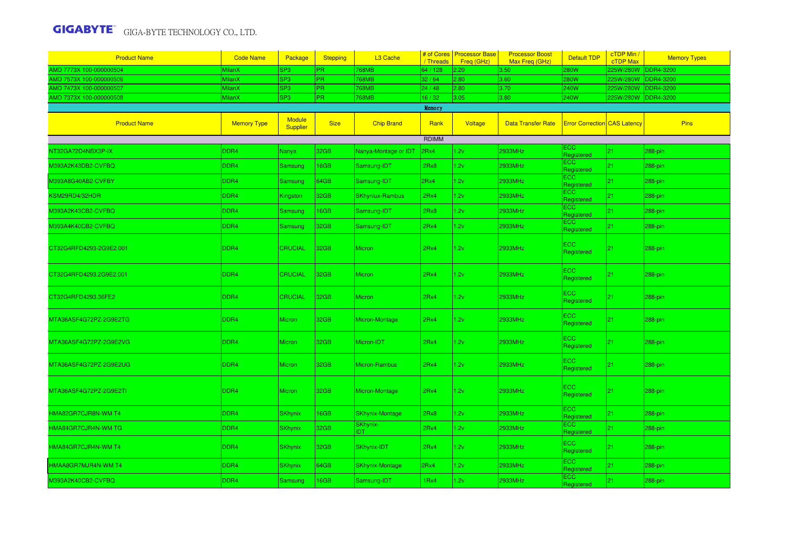| <b>Product Name</b>     | <b>Code Name</b>   | Package                   | <b>Stepping</b>  | L3 Cache               | / Threads    | # of Cores   Processor Base<br>Freg (GHz) | <b>Processor Boost</b><br>Max Freg (GHz) | <b>Default TDP</b>                  | cTDP Min /<br>cTDP Max | <b>Memory Types</b> |
|-------------------------|--------------------|---------------------------|------------------|------------------------|--------------|-------------------------------------------|------------------------------------------|-------------------------------------|------------------------|---------------------|
| AMD 7773X 100-000000504 | MilanX             | SP3                       | PR.              | 768MB                  | 64 / 128     | 2.20                                      | 3.50                                     | 280W                                | 225W/280W              | DDR4-3200           |
| AMD 7573X 100-000000506 | MilanX             | SP <sub>3</sub>           | <b>PR</b>        | <b>768MB</b>           | 32/64        | 2.80                                      | 3.60                                     | <b>280W</b>                         | 225W/280W              | DDR4-3200           |
| AMD 7473X 100-000000507 | <b>MilanX</b>      | SP <sub>3</sub>           | PR.              | <b>768MB</b>           | 24/48        | 2.80                                      | 3.70                                     | 240W                                | 225W/280W              | DDR4-3200           |
| AMD 7373X 100-000000508 | MilanX             | SP <sub>3</sub>           | PR.              | 768MB                  | 16/32        | 3.05                                      | 3.80                                     | 240W                                | 225W/280W              | DDR4-3200           |
|                         |                    |                           |                  |                        | Memory       |                                           |                                          |                                     |                        |                     |
| <b>Product Name</b>     | <b>Memory Type</b> | <b>Module</b><br>Supplier | <b>Size</b>      | <b>Chip Brand</b>      | Rank         | Voltage                                   | <b>Data Transfer Rate</b>                | <b>Error Correction CAS Latency</b> |                        | <b>Pins</b>         |
|                         |                    |                           |                  |                        | <b>RDIMM</b> |                                           |                                          |                                     |                        |                     |
| NT32GA72D4NBX3P-IX      | DDR4               | Nanya                     | 32GB             | Nanya-Montage or IDT   | 2Rx4         | 1.2v                                      | 2933MHz                                  | ECC.<br>Registered                  | 21                     | 288-pin             |
| M393A2K43DB2-CVFBQ      | DDR4               | Samsung                   | 16GB             | Samsung-IDT            | 2Rx8         | 1.2v                                      | 2933MHz                                  | <b>ECC</b><br>Registered            | 21                     | 288-pin             |
| M393A8G40AB2-CVFBY      | DDR4               | Samsung                   | 64GB             | Samsung-IDT            | 2Rx4         | .2v                                       | 2933MHz                                  | ECC<br>Registered                   | 21                     | 288-pin             |
| KSM29RD4/32HDR          | DDR4               | Kingston                  | 32GB             | <b>SKhyniux-Rambus</b> | 2Rx4         | 1.2v                                      | 2933MHz                                  | ECC<br>Registered                   | 21                     | 288-pin             |
| M393A2K43CB2-CVFBQ      | DDR4               | Samsung                   | 16GB             | Samsung-IDT            | 2Rx8         | .2v                                       | 2933MHz                                  | <b>ECC</b><br>Registered            | 21                     | 288-pin             |
| M393A4K40CB2-CVFBQ      | DDR4               | Samsung                   | 32GB             | Samsung-IDT            | 2Rx4         | 1.2v                                      | 2933MHz                                  | <b>ECC</b><br>Registered            | 21                     | 288-pin             |
| CT32G4RFD4293-2G9E2.001 | DDR <sub>4</sub>   | <b>CRUCIAL</b>            | 32 <sub>GB</sub> | Micron                 | 2Rx4         | 1.2v                                      | 2933MHz                                  | <b>ECC</b><br>Registered            | 21                     | 288-pin             |
| CT32G4RFD4293.2G9E2.001 | DDR <sub>4</sub>   | <b>CRUCIAL</b>            | 32GB             | Micron                 | 2Rx4         | 1.2v                                      | 2933MHz                                  | <b>ECC</b><br>Registered            | 21                     | 288-pin             |
| CT32G4RFD4293.36FE2     | DDR4               | <b>CRUCIAL</b>            | 32GB             | <b>Micron</b>          | 2Rx4         | 1.2v                                      | 2933MHz                                  | <b>ECC</b><br>Registered            | 21                     | 288-pin             |
| MTA36ASF4G72PZ-2G9E2TG  | DDR4               | Micron                    | 32GB             | Micron-Montage         | 2Rx4         | 1.2v                                      | 2933MHz                                  | ECC.<br>Registered                  | 21                     | 288-pin             |
| MTA36ASF4G72PZ-2G9E2VG  | DDR4               | Micron                    | 32GB             | Micron-IDT             | 2Rx4         | 1.2v                                      | 2933MHz                                  | ECC.<br>Registered                  | 21                     | 288-pin             |
| MTA36ASF4G72PZ-2G9E2UG  | DDR4               | <b>Micron</b>             | 32GB             | Micron-Rambus          | 2Rx4         | 1.2v                                      | 2933MHz                                  | <b>ECC</b><br>Registered            | 21                     | 288-pin             |
| MTA36ASF4G72PZ-2G9E2TI  | DDR4               | <b>Micron</b>             | 32GB             | Micron-Montage         | 2Rx4         | 1.2v                                      | 2933MHz                                  | <b>ECC</b><br>Registered            | 21                     | 288-pin             |
| HMA82GR7CJR8N-WM T4     | DDR4               | <b>SKhynix</b>            | 16GB             | <b>SKhynix-Montage</b> | 2Rx8         | 1.2v                                      | 2933MHz                                  | ECC<br>Registered                   | 21                     | 288-pin             |
| HMA84GR7CJR4N-WM TG     | DDR4               | <b>SKhynix</b>            | 32GB             | SKhynix-<br><b>IDT</b> | 2Rx4         | .2v                                       | 2933MHz                                  | ECC<br>Registered                   | 21                     | 288-pin             |
| HMA84GR7CJR4N-WM T4     | DDR4               | <b>SKhynix</b>            | 32GB             | SKhynix-IDT            | 2Rx4         | 1.2v                                      | 2933MHz                                  | <b>ECC</b><br>Registered            | 21                     | 288-pin             |
| HMAA8GR7MJR4N-WM T4     | DDR4               | <b>SKhynix</b>            | 64GB             | <b>SKhynix-Montage</b> | 2Rx4         | 1.2v                                      | 2933MHz                                  | ECC.<br>Registered                  | 21                     | 288-pin             |
| M393A2K40CB2-CVFBQ      | DDR4               | Samsung                   | 16GB             | Samsung-IDT            | 1Rx4         | 1.2v                                      | 2933MHz                                  | ECC<br>Registered                   | 21                     | 288-pin             |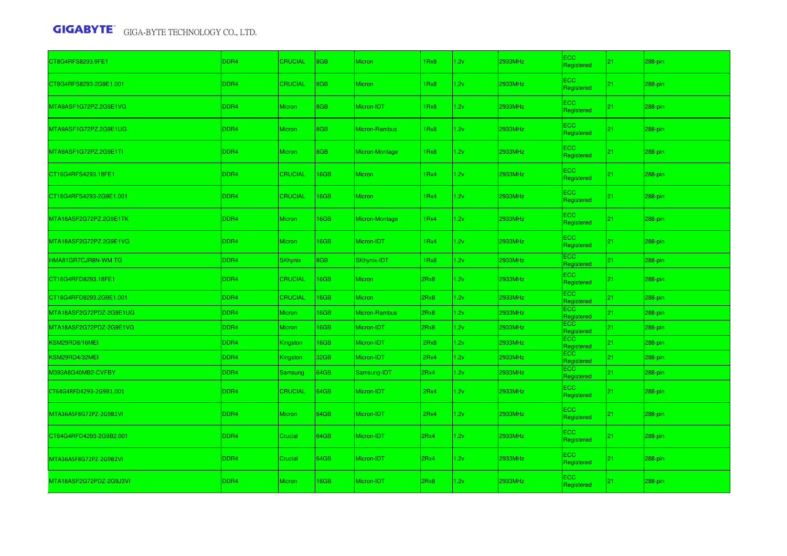| CT8G4RFS8293.9FE1       | DDR4             | <b>CRUCIAL</b> | 8GB         | <b>Micron</b>  | 1Rx8             | 1.2v | 2933MHz        | ECC.<br>Registered       | 21              | 288-pin    |
|-------------------------|------------------|----------------|-------------|----------------|------------------|------|----------------|--------------------------|-----------------|------------|
| CT8G4RFS8293-2G9E1.001  | DDR4             | <b>CRUCIAL</b> | 8GB         | <b>Micron</b>  | 1Rx8             | 1.2v | 2933MHz        | ECC.<br>Registered       | 21              | 288-pin    |
| MTA9ASF1G72PZ.2G9E1VG   | DDR4             | <b>Micron</b>  | 8GB         | Micron-IDT     | 1Rx8             | 1.2v | 2933MHz        | ECC.<br>Registered       | 21 <sub>2</sub> | 288-pin    |
| MTA9ASF1G72PZ.2G9E1UG   | DDR4             | <b>Micron</b>  | 8GB         | Micron-Rambus  | 1Rx8             | 1.2v | 2933MHz        | <b>ECC</b><br>Registered | 21              | 288-pin    |
| MTA9ASF1G72PZ.2G9E1TI   | DDR4             | <b>Micron</b>  | 8GB         | Micron-Montage | 1Rx8             | 1.2v | 2933MHz        | <b>ECC</b><br>Registered | 21 <sub>2</sub> | 288-pin    |
| CT16G4RFS4293.18FE1     | DDR4             | <b>CRUCIAL</b> | 16GB        | Micron         | 1Rx4             | 1.2v | 2933MHz        | ECC.<br>Registered       | 21              | 288-pin    |
| CT16G4RFS4293-2G9E1.001 | DDR <sub>4</sub> | <b>CRUCIAL</b> | 16GB        | <b>Micron</b>  | 1 <sub>Rx4</sub> | 1.2v | 2933MHz        | ECC.<br>Registered       | 21              | 288-pin    |
| MTA18ASF2G72PZ.2G9E1TK  | DDR4             | Micron         | 16GB        | Micron-Montage | 1Rx4             | 1.2v | 2933MHz        | <b>ECC</b><br>Registered | 21 <sub>1</sub> | 288-pin    |
| MTA18ASF2G72PZ.2G9E1VG  | DDR4             | <b>Micron</b>  | 16GB        | Micron-IDT     | 1Rx4             | 1.2v | 2933MHz        | <b>ECC</b><br>Registered | 21              | 288-pin    |
| HMA81GR7CJR8N-WM TG     | DDR4             | <b>SKhynix</b> | 8GB         | SKhynix-IDT    | 1Rx8             | 1.2v | 2933MHz        | <b>ECC</b><br>Registered | 21 <sub>1</sub> | 288-pin    |
| CT16G4RFD8293.18FE1     | DDR4             | <b>CRUCIAL</b> | 16GB        | Micron         | 2Rx8             | 1.2v | 2933MHz        | <b>ECC</b><br>Registered | 21              | 288-pin    |
| CT16G4RFD8293.2G9E1.001 | DDR4             | <b>CRUCIAL</b> | 16GB        | <b>Micron</b>  | 2Rx8             | 1.2v | 2933MHz        | <b>ECC</b><br>Registered | 21              | 288-pin    |
| MTA18ASF2G72PDZ-2G9E1UG | DDR4             | Micron         | <b>I6GB</b> | Micron-Rambus  | 2Rx8             | 1.2v | 2933MHz        | <b>ECC</b><br>Registered | 21 <sub>1</sub> | $288$ -pin |
| MTA18ASF2G72PDZ-2G9E1VG | DDR4             | <b>Micron</b>  | 16GB        | Micron-IDT     | 2Rx8             | 1.2v | 2933MHz        | ECC.<br>Registered       | 21              | 288-pin    |
| KSM29RD8/16MEI          | DDR4             | Kingston       | 16GB        | Micron-IDT     | 2Rx8             | 1.2v | <b>2933MHz</b> | <b>ECC</b><br>Registered | 21              | 288-pin    |
| KSM29RD4/32MEI          | DDR4             | Kingston       | 32GB        | Micron-IDT     | 2Rx4             | 1.2v | 2933MHz        | <b>ECC</b><br>Registered | 21              | 288-pin    |
| M393A8G40MB2-CVFBY      | DDR4             | Samsung        | 64GB        | Samsung-IDT    | 2Rx4             | 1.2v | 2933MHz        | <b>ECC</b><br>Registered | 21 <sub>1</sub> | 288-pin    |
| CT64G4RFD4293-2G9B1.001 | DDR4             | <b>CRUCIAL</b> | 64GB        | Micron-IDT     | 2Rx4             | 1.2v | 2933MHz        | <b>ECC</b><br>Registered | 21              | $288$ -pin |
| MTA36ASF8G72PZ-2G9B1VI  | DDR4             | <b>Micron</b>  | 64GB        | Micron-IDT     | 2Rx4             | 1.2v | 2933MHz        | <b>ECC</b><br>Registered | 21.             | 288-pin    |
| CT64G4RFD4293-2G9B2.001 | DDR <sub>4</sub> | Crucial        | 64GB        | Micron-IDT     | 2Rx4             | 1.2v | 2933MHz        | <b>ECC</b><br>Registered | 21              | 288-pin    |
| MTA36ASF8G72PZ-2G9B2VI  | DDR4             | Crucial        | 64GB        | Micron-IDT     | 2Rx4             | 1.2v | 2933MHz        | <b>ECC</b><br>Registered | 21 <sub>2</sub> | 288-pin    |
| MTA18ASF2G72PDZ-2G9J3VI | DDR <sub>4</sub> | <b>Micron</b>  | 16GB        | Micron-IDT     | 2Rx8             | 1.2v | 2933MHz        | ECC.<br>Registered       | 21              | 288-pin    |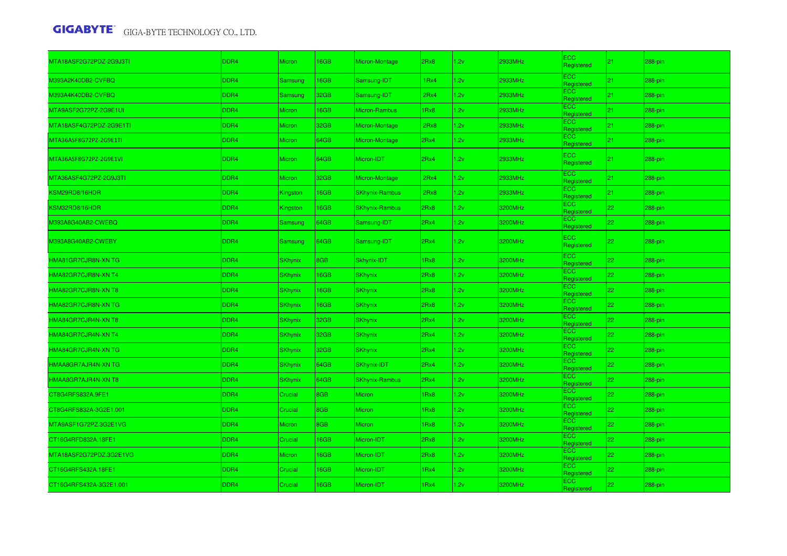| MTA18ASF2G72PDZ-2G9J3TI | DDR4        | Micron          | 6GB        | Micron-Montage        | 2Rx8             | 1.2v | 2933MHz | <b>ECC</b><br>Registered | 21 | 288-pin |
|-------------------------|-------------|-----------------|------------|-----------------------|------------------|------|---------|--------------------------|----|---------|
| M393A2K40DB2-CVFBQ      | DDR4        | Samsung         | 6GB        | Samsung-IDT           | 1 <sub>Rx4</sub> | 1.2v | 2933MHz | <b>ECC</b><br>Registered | 21 | 288-pin |
| M393A4K40DB2-CVFBQ      | DDR4        | Samsung         | 32GB       | Samsung-IDT           | 2Rx4             | 1.2v | 2933MHz | <b>ECC</b><br>Registered | 21 | 288-pin |
| MTA9ASF2G72PZ-2G9E1UI   | DDR4        | <b>Micron</b>   | 6GB        | Micron-Rambus         | 1Rx8             | 1.2v | 2933MHz | <b>ECC</b><br>Registered | 21 | 288-pin |
| MTA18ASF4G72PDZ-2G9E1TI | DDR4        | Micron          | 32GB       | Micron-Montage        | 2Rx8             | 1.2v | 2933MHz | <b>ECC</b><br>Registered | 21 | 288-pin |
| MTA36ASF8G72PZ-2G9E1TI  | DDR4        | Micron          | 64GB       | Micron-Montage        | 2Rx4             | 1.2v | 2933MHz | ECC.<br>Registered       | 21 | 288-pin |
| MTA36ASF8G72PZ-2G9E1VI  | DDR4        | <b>Micron</b>   | 64GB       | Micron-IDT            | 2Rx4             | 1.2v | 2933MHz | <b>ECC</b><br>Registered | 21 | 288-pin |
| MTA36ASF4G72PZ-2G9J3TI  | DDR4        | <b>Micron</b>   | 32GB       | Micron-Montage        | 2Rx4             | 1.2v | 2933MHz | <b>ECC</b><br>Registered | 21 | 288-pin |
| KSM29RD8/16HDR          | DDR4        | Kingston        | 16GB       | <b>SKhynix-Rambus</b> | 2Rx8             | 1.2v | 2933MHz | <b>ECC</b><br>Registered | 21 | 288-pin |
| KSM32RD8/16HDR          | DDR4        | <b>Kingston</b> | 6GB        | <b>SKhynix-Rambus</b> | 2Rx8             | 1.2v | 3200MHz | <b>ECC</b><br>Registered | 22 | 288-pin |
| M393A8G40AB2-CWEBQ      | DDR4        | Samsung         | 64GB       | Samsung-IDT           | 2Rx4             | 1.2v | 3200MHz | <b>ECC</b><br>Registered | 22 | 288-pin |
| M393A8G40AB2-CWEBY      | DDR4        | Samsung         | 64GB       | Samsung-IDT           | 2Rx4             | 1.2v | 3200MHz | <b>ECC</b><br>Registered | 22 | 288-pin |
| HMA81GR7CJR8N-XN TG     | DDR4        | SKhynix         | <b>BGB</b> | Skhynix-IDT           | 1Rx8             | 1.2v | 3200MHz | <b>ECC</b><br>Registered | 22 | 288-pin |
| HMA82GR7CJR8N-XN T4     | DDR4        | <b>SKhynix</b>  | 16GB       | <b>SKhynix</b>        | 2Rx8             | 1.2v | 3200MHz | <b>ECC</b><br>Registered | 22 | 288-pin |
| HMA82GR7CJR8N-XN T8     | DDR4        | <b>SKhynix</b>  | 16GB       | <b>SKhynix</b>        | 2Rx8             | 1.2v | 3200MHz | <b>ECC</b><br>Registered | 22 | 288-pin |
| HMA82GR7CJR8N-XN TG     | DDR4        | <b>SKhynix</b>  | 16GB       | <b>SKhynix</b>        | 2Rx8             | 1.2v | 3200MHz | <b>ECC</b><br>Registered | 22 | 288-pin |
| HMA84GR7CJR4N-XN T8     | DDR4        | <b>SKhynix</b>  | 32GB       | <b>SKhynix</b>        | 2Rx4             | 1.2v | 3200MHz | <b>ECC</b><br>Registered | 22 | 288-pin |
| HMA84GR7CJR4N-XN T4     | DDR4        | <b>SKhynix</b>  | 32GB       | <b>SKhynix</b>        | 2Rx4             | 1.2v | 3200MHz | <b>ECC</b><br>Registered | 22 | 288-pin |
| HMA84GR7CJR4N-XN TG     | DDR4        | <b>SKhynix</b>  | 32GB       | <b>SKhynix</b>        | 2Rx4             | 1.2v | 3200MHz | ECC.<br>Registered       | 22 | 288-pin |
| HMAA8GR7AJR4N-XN TG     | DDR4        | SKhynix         | 64GB       | SKhynix-IDT           | 2Rx4             | 1.2v | 3200MHz | ECC<br>Registered        | 22 | 288-pin |
| HMAA8GR7AJR4N-XN T8     | DDR4        | SKhynix         | 64GB       | <b>SKhynix-Rambus</b> | 2Rx4             | 1.2v | 3200MHz | <b>ECC</b><br>Registered | 22 | 288-pin |
| CT8G4RFS832A.9FE1       | DDR4        | Crucial         | <b>BGB</b> | <b>Micron</b>         | 1Rx8             | 1.2v | 3200MHz | <b>ECC</b><br>Registered | 22 | 288-pin |
| CT8G4RFS832A-3G2E1.001  | DDR4        | Crucial         | <b>BGB</b> | <b>Micron</b>         | 1Rx8             | 1.2v | 3200MHz | ECC.<br>Registered       | 22 | 288-pin |
| MTA9ASF1G72PZ.3G2E1VG   | <b>DDR4</b> | Micron          | <b>BGB</b> | <b>Micron</b>         | 1Rx8             | 1.2v | 3200MHz | <b>ECC</b><br>Registered | 22 | 288-pin |
| CT16G4RFD832A.18FE1     | DDR4        | Crucial         | 16GB       | Micron-IDT            | 2Rx8             | 1.2v | 3200MHz | ECC.<br>Registered       | 22 | 288-pin |
| MTA18ASF2G72PDZ.3G2E1VG | DDR4        | <b>Micron</b>   | 6GB        | Micron-IDT            | 2Rx8             | 1.2v | 3200MHz | <b>ECC</b><br>Registered | 22 | 288-pin |
| CT16G4RFS432A.18FE1     | DDR4        | Crucial         | 6GB        | Micron-IDT            | 1Rx4             | 1.2v | 3200MHz | <b>ECC</b><br>Registered | 22 | 288-pin |
| CT16G4RFS432A-3G2E1.001 | DDR4        | Crucial         | 6GB        | Micron-IDT            | 1Rx4             | 1.2v | 3200MHz | <b>ECC</b><br>Registered | 22 | 288-pin |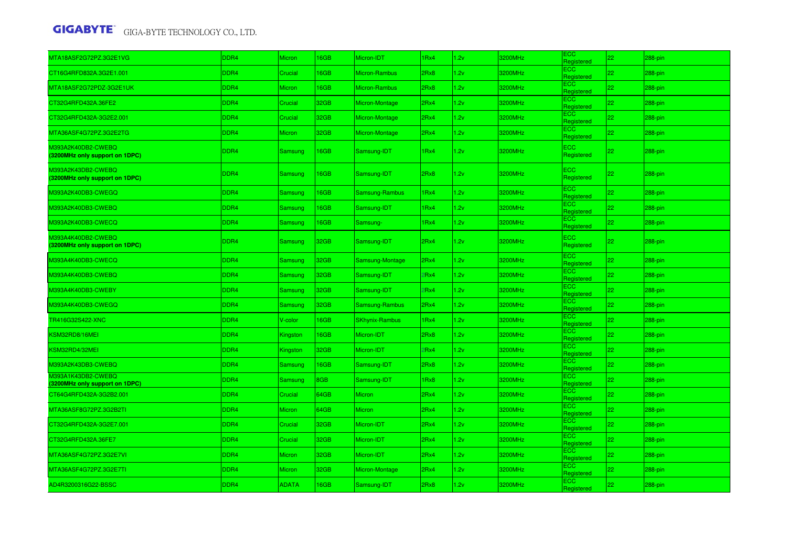| MTA18ASF2G72PZ.3G2E1VG                               | DDR4 | Micron        | <b>6GB</b> | Micron-IDT            | 1 <sub>Rx4</sub> | 2v   | 3200MHz | ECC<br>Registered        | 22 | 288-pin |
|------------------------------------------------------|------|---------------|------------|-----------------------|------------------|------|---------|--------------------------|----|---------|
| CT16G4RFD832A.3G2E1.001                              | DDR4 | Crucial       | 16GB       | Micron-Rambus         | 2Rx8             | .2v  | 3200MHz | <b>ECC</b><br>Reaistered | 22 | 288-pin |
| MTA18ASF2G72PDZ-3G2E1UK                              | DDR4 | <b>Micron</b> | <b>6GB</b> | Micron-Rambus         | 2Rx8             | 1.2v | 3200MHz | <b>ECC</b><br>Registered | 22 | 288-pin |
| CT32G4RFD432A.36FE2                                  | DDR4 | Crucial       | 32GB       | Micron-Montage        | 2Rx4             | 1.2v | 3200MHz | ECC<br>Registered        | 22 | 288-pin |
| CT32G4RFD432A-3G2E2.001                              | DDR4 | Crucial       | 32GB       | Micron-Montage        | 2Rx4             | 1.2v | 3200MHz | ECC.<br>Registered       | 22 | 288-pin |
| MTA36ASF4G72PZ.3G2E2TG                               | DDR4 | <b>Micron</b> | 32GB       | Micron-Montage        | 2Rx4             | 1.2v | 3200MHz | ECC<br>Registered        | 22 | 288-pin |
| M393A2K40DB2-CWEBQ<br>(3200MHz only support on 1DPC) | DDR4 | Samsung       | 16GB       | Samsung-IDT           | 1Rx4             | 1.2v | 3200MHz | <b>ECC</b><br>Registered | 22 | 288-pin |
| M393A2K43DB2-CWEBQ<br>(3200MHz only support on 1DPC) | DDR4 | Samsung       | 16GB       | Samsung-IDT           | 2Rx8             | 1.2v | 3200MHz | <b>ECC</b><br>Registered | 22 | 288-pin |
| M393A2K40DB3-CWEGQ                                   | DDR4 | Samsung       | 16GB       | Samsung-Rambus        | 1Rx4             | 2v   | 3200MHz | <b>ECC</b><br>Registered | 22 | 288-pin |
| M393A2K40DB3-CWEBQ                                   | DDR4 | Samsung       | 16GB       | Samsung-IDT           | 1Rx4             | 1.2v | 3200MHz | <b>ECC</b><br>Registered | 22 | 288-pin |
| M393A2K40DB3-CWECQ                                   | DDR4 | Samsung       | 16GB       | Samsung-              | 1Rx4             | 1.2v | 3200MHz | ECC<br>Registered        | 22 | 288-pin |
| M393A4K40DB2-CWEBQ<br>(3200MHz only support on 1DPC) | DDR4 | Samsung       | 32GB       | Samsung-IDT           | 2Rx4             | 1.2v | 3200MHz | <b>ECC</b><br>Registered | 22 | 288-pin |
| M393A4K40DB3-CWECQ                                   | DDR4 | Samsung       | 32GB       | Samsung-Montage       | 2Rx4             | 1.2v | 3200MHz | ECC<br>Registered        | 22 | 288-pin |
| M393A4K40DB3-CWEBQ                                   | DDR4 | Samsung       | 32GB       | Samsung-IDT           | 2Rx4             | 1.2v | 3200MHz | <b>ECC</b><br>Registered | 22 | 288-pin |
| M393A4K40DB3-CWEBY                                   | DDR4 | Samsung       | 32GB       | Samsung-IDT           | 2Rx4             | 1.2v | 3200MHz | <b>ECC</b><br>Registered | 22 | 288-pin |
| M393A4K40DB3-CWEGQ                                   | DDR4 | Samsung       | 32GB       | Samsung-Rambus        | 2Rx4             | .2v  | 3200MHz | ECC<br>Registered        | 22 | 288-pin |
| TR416G32S422-XNC                                     | DDR4 | V-color       | 16GB       | <b>SKhynix-Rambus</b> | 1Rx4             | 1.2v | 3200MHz | <b>ECC</b><br>Registered | 22 | 288-pin |
| <b><sm32rd8 16mei<="" b=""></sm32rd8></b>            | DDR4 | Kingston      | 16GB       | Micron-IDT            | 2Rx8             | .2v  | 3200MHz | <b>ECC</b><br>Registered | 22 | 288-pin |
| KSM32RD4/32MEI                                       | DDR4 | Kingston      | 32GB       | Micron-IDT            | 2Rx4             | 1.2v | 3200MHz | <b>ECC</b><br>Registered | 22 | 288-pin |
| M393A2K43DB3-CWEBQ                                   | DDR4 | Samsung       | 16GB       | Samsung-IDT           | 2Rx8             | 1.2v | 3200MHz | <b>ECC</b><br>Registered | 22 | 288-pin |
| M393A1K43DB2-CWEBQ<br>(3200MHz only support on 1DPC) | DDR4 | Samsung       | 8GB        | Samsung-IDT           | 1Rx8             | 1.2v | 3200MHz | ECC.<br>Registered       | 22 | 288-pin |
| CT64G4RFD432A-3G2B2.001                              | DDR4 | Crucial       | 64GB       | <b>Micron</b>         | 2Rx4             | 1.2v | 3200MHz | ECC.<br>Registered       | 22 | 288-pin |
| MTA36ASF8G72PZ.3G2B2TI                               | DDR4 | Micron        | 64GB       | <b>Micron</b>         | 2Rx4             | 1.2v | 3200MHz | ECC<br>Registered        | 22 | 288-pin |
| CT32G4RFD432A-3G2E7.001                              | DDR4 | Crucial       | 32GB       | Micron-IDT            | 2Rx4             | 1.2v | 3200MHz | ECC.<br>Registered       | 22 | 288-pin |
| CT32G4RFD432A.36FE7                                  | DDR4 | Crucial       | 32GB       | Micron-IDT            | 2Rx4             | 1.2v | 3200MHz | ECC.<br>Registered       | 22 | 288-pin |
| MTA36ASF4G72PZ.3G2E7VI                               | DDR4 | <b>Micron</b> | 32GB       | Micron-IDT            | 2Rx4             | 1.2v | 3200MHz | ECC.<br>Reaistered       | 22 | 288-pin |
| MTA36ASF4G72PZ.3G2E7TI                               | DDR4 | Micron        | 32GB       | Micron-Montage        | 2Rx4             | 1.2v | 3200MHz | ECC.<br>Registered       | 22 | 288-pin |
| AD4R3200316G22-BSSC                                  | DDR4 | <b>ADATA</b>  | 16GB       | Samsung-IDT           | 2Rx8             | 2v   | 3200MHz | ECC<br>Registered        | 22 | 288-pin |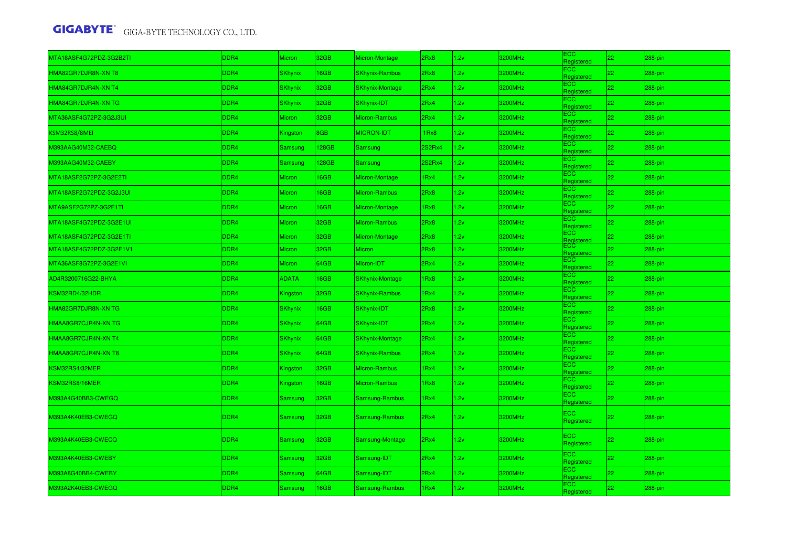| MTA18ASF4G72PDZ-3G2B2TI | DDR4 | <b>Micron</b>  | 32GB             | Micron-Montage         | 2Rx8             | .2v  | 3200MHz | ECC<br>Registered        | 22 <sub>2</sub> | 288-pin    |
|-------------------------|------|----------------|------------------|------------------------|------------------|------|---------|--------------------------|-----------------|------------|
| HMA82GR7DJR8N-XN T8     | DDR4 | <b>SKhynix</b> | 16GB             | <b>SKhynix-Rambus</b>  | 2Rx8             | 1.2v | 3200MHz | <b>ECC</b><br>Registered | 22              | 288-pin    |
| HMA84GR7DJR4N-XN T4     | DDR4 | <b>SKhynix</b> | 32GB             | <b>SKhynix-Montage</b> | 2Rx4             | .2v  | 3200MHz | <b>ECC</b><br>Registered | 22              | 288-pin    |
| HMA84GR7DJR4N-XN TG     | DDR4 | <b>SKhynix</b> | 32GB             | SKhynix-IDT            | 2Rx4             | 1.2v | 3200MHz | ECC<br>Registered        | 22              | 288-pin    |
| MTA36ASF4G72PZ-3G2J3UI  | DDR4 | Micron         | 32GB             | Micron-Rambus          | 2Rx4             | .2v  | 3200MHz | <b>ECC</b><br>Registered | 22 <sub>1</sub> | 288-pin    |
| KSM32RS8/8MEI           | DDR4 | Kingston       | 8GB              | <b>MICRON-IDT</b>      | 1Rx8             | 1.2v | 3200MHz | <b>ECC</b><br>Registered | 22              | 288-pin    |
| M393AAG40M32-CAEBQ      | DDR4 | Samsung        | 128GB            | <b>Samsung</b>         | 2S2Rx4           | 1.2v | 3200MHz | <b>ECC</b><br>Registered | 22              | 288-pin    |
| M393AAG40M32-CAEBY      | DDR4 | Samsung        | 128GB            | <b>Samsung</b>         | 2S2Rx4           | 1.2v | 3200MHz | ECC<br>Registered        | 22              | 288-pin    |
| MTA18ASF2G72PZ-3G2E2TI  | DDR4 | <b>Micron</b>  | <b>I6GB</b>      | Micron-Montage         | 1 <sub>Rx4</sub> | .2v  | 3200MHz | <b>ECC</b><br>Registered | 22 <sub>1</sub> | 288-pin    |
| MTA18ASF2G72PDZ-3G2J3UI | DDR4 | Micron         | <b>I6GB</b>      | Micron-Rambus          | 2Rx8             | 1.2v | 3200MHz | <b>ECC</b><br>Registered | 22              | 288-pin    |
| MTA9ASF2G72PZ-3G2E1TI   | DDR4 | <b>Micron</b>  | 16GB             | Micron-Montage         | 1Rx8             | .2v  | 3200MHz | <b>ECC</b><br>Registered | 22              | 288-pin    |
| MTA18ASF4G72PDZ-3G2E1UI | DDR4 | Micron         | 32GB             | Micron-Rambus          | 2Rx8             | 1.2v | 3200MHz | ECC<br>Registered        | 22              | 288-pin    |
| MTA18ASF4G72PDZ-3G2E1TI | DDR4 | <b>Micron</b>  | 32GB             | Micron-Montage         | 2Rx8             | 1.2v | 3200MHz | ECC<br>Registered        | 22              | 288-pin    |
| MTA18ASF4G72PDZ-3G2E1V1 | DDR4 | Micron         | 32GB             | <b>Micron</b>          | 2Rx8             | 1.2v | 3200MHz | ECC.<br>Registered       | 22              | 288-pin    |
| MTA36ASF8G72PZ-3G2E1VI  | DDR4 | Micron         | 64GB             | Micron-IDT             | 2Rx4             | 1.2v | 3200MHz | ECC.<br>Registered       | 22              | 288-pin    |
| AD4R3200716G22-BHYA     | DDR4 | <b>ADATA</b>   | <b>I6GB</b>      | <b>SKhynix-Montage</b> | Rx8              | .2v  | 3200MHz | <b>ECC</b><br>Registered | 22              | 288-pin    |
| KSM32RD4/32HDR          | DDR4 | Kingston       | 32GB             | <b>SKhynix-Rambus</b>  | Rx4              | 1.2v | 3200MHz | ECC.<br>Registered       | 22              | 288-pin    |
| HMA82GR7DJR8N-XN TG     | DDR4 | <b>SKhynix</b> | <b>I6GB</b>      | SKhynix-IDT            | 2Rx8             | 1.2v | 3200MHz | <b>ECC</b><br>Registered | 22 <sub>2</sub> | 288-pin    |
| HMAA8GR7CJR4N-XN TG     | DDR4 | <b>SKhynix</b> | 64GB             | SKhynix-IDT            | 2Rx4             | 1.2v | 3200MHz | <b>ECC</b><br>Registered | 22              | 288-pin    |
| HMAA8GR7CJR4N-XN T4     | DDR4 | <b>SKhynix</b> | 64GB             | <b>SKhynix-Montage</b> | 2Rx4             | .2v  | 3200MHz | <b>ECC</b><br>Registered | 22 <sub>2</sub> | 288-pin    |
| HMAA8GR7CJR4N-XN T8     | DDR4 | <b>SKhynix</b> | 64GB             | <b>SKhynix-Rambus</b>  | 2Rx4             | 1.2v | 3200MHz | <b>ECC</b><br>Registered | 22              | 288-pin    |
| KSM32RS4/32MER          | DDR4 | Kingston       | 32GB             | Micron-Rambus          | 1 <sub>Rx4</sub> | .2v  | 3200MHz | <b>ECC</b><br>Registered | 22 <sub>1</sub> | 288-pin    |
| KSM32RS8/16MER          | DDR4 | Kingston       | <b>I6GB</b>      | Micron-Rambus          | 1Rx8             | 1.2v | 3200MHz | <b>ECC</b><br>Registered | 22              | $288$ -pin |
| M393A4G40BB3-CWEGQ      | DDR4 | Samsung        | 32GB             | Samsung-Rambus         | Rx4              | 1.2v | 3200MHz | <b>ECC</b><br>Registered | 22 <sub>2</sub> | 288-pin    |
| M393A4K40EB3-CWEGQ      | DDR4 | Samsung        | 32GB             | Samsung-Rambus         | 2Rx4             | 1.2v | 3200MHz | <b>ECC</b><br>Registered | 22              | 288-pin    |
| M393A4K40EB3-CWECQ      | DDR4 | Samsung        | 32 <sub>GB</sub> | Samsung-Montage        | 2Rx4             | 1.2v | 3200MHz | <b>ECC</b><br>Registered | 22              | 288-pin    |
| M393A4K40EB3-CWEBY      | DDR4 | Samsung        | 32GB             | Samsung-IDT            | 2Rx4             | 1.2v | 3200MHz | <b>ECC</b><br>Registered | 22 <sub>2</sub> | 288-pin    |
| M393A8G40BB4-CWEBY      | DDR4 | Samsung        | 64GB             | Samsung-IDT            | 2Rx4             | 1.2v | 3200MHz | <b>ECC</b><br>Registered | 22              | 288-pin    |
| M393A2K40EB3-CWEGQ      | DDR4 | Samsung        | 16GB             | Samsung-Rambus         | Rx4              | 2v   | 3200MHz | ECC.<br>Registered       | 22              | 288-pin    |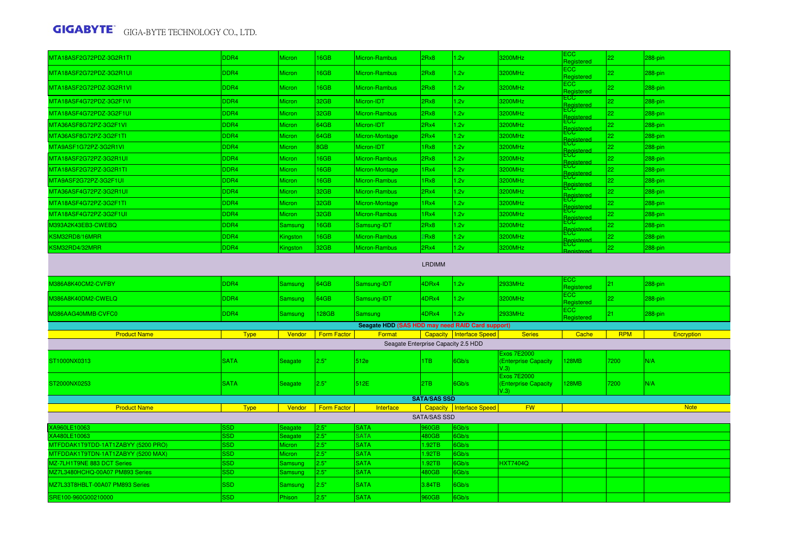| MTA18ASF2G72PDZ-3G2R1TI                            | DDR4              | <b>Micron</b>            | 16GB               | Micron-Rambus                                    | 2Rx8                | 1.2v                       | 3200MHz                                                  | ECC.<br>Registered            | 22 <sub>2</sub> | 288-pin     |
|----------------------------------------------------|-------------------|--------------------------|--------------------|--------------------------------------------------|---------------------|----------------------------|----------------------------------------------------------|-------------------------------|-----------------|-------------|
| MTA18ASF2G72PDZ-3G2R1UI                            | DDR4              | <b>Micron</b>            | 16GB               | Micron-Rambus                                    | 2Rx8                | 1.2v                       | 3200MHz                                                  | ECC.<br>Registered            | 22              | 288-pin     |
| MTA18ASF2G72PDZ-3G2R1VI                            | DDR4              | <b>Micron</b>            | 16GB               | Micron-Rambus                                    | 2Rx8                | 1.2v                       | 3200MHz                                                  | ECC.<br>Registered            | 22              | 288-pin     |
| MTA18ASF4G72PDZ-3G2F1VI                            | DDR4              | <b>Micron</b>            | 32GB               | Micron-IDT                                       | 2Rx8                | 1.2v                       | 3200MHz                                                  | ECC.<br>Registered            | 22              | 288-pin     |
| MTA18ASF4G72PDZ-3G2F1UI                            | DDR4              | Micron                   | 32GB               | Micron-Rambus                                    | 2Rx8                | 1.2v                       | 3200MHz                                                  | ECC.<br>Registered            | 22              | 288-pin     |
| MTA36ASF8G72PZ-3G2F1VI                             | DDR4              | <b>Micron</b>            | 64GB               | Micron-IDT                                       | 2Rx4                | 1.2v                       | 3200MHz                                                  | ECC                           | 22              | 288-pin     |
| MTA36ASF8G72PZ-3G2F1TI                             | DDR4              | <b>Micron</b>            | 64GB               | Micron-Montage                                   | 2Rx4                | 1.2v                       | 3200MHz                                                  | <b>ECC</b>                    | 22              | 288-pin     |
| MTA9ASF1G72PZ-3G2R1VI                              | DDR4              | Micron                   | 8GB                | Micron-IDT                                       | 1Rx8                | 1.2v                       | 3200MHz                                                  | Registere<br>ECC<br>Registere | 22              | $288$ -pin  |
| MTA18ASF2G72PZ-3G2R1UI                             | DDR4              | <b>Micron</b>            | 16GB               | Micron-Rambus                                    | 2Rx8                | 1.2v                       | 3200MHz                                                  | <mark>£CG</mark>              | 22              | 288-pin     |
| MTA18ASF2G72PZ-3G2R1TI                             | DDR4              | <b>Micron</b>            | 16GB               | Micron-Montage                                   | 1Rx4                | 1.2v                       | 3200MHz                                                  | <u>Ecc</u><br>Registered      | 22              | 288-pin     |
| MTA9ASF2G72PZ-3G2F1UI                              | DDR4              | Micron                   | <b>16GB</b>        | Micron-Rambus                                    | 1 <sub>Rx8</sub>    | 1.2v                       | 3200MHz                                                  | ECC.<br>Registere             | 22              | 288-pin     |
| MTA36ASF4G72PZ-3G2R1UI                             | DDR <sub>4</sub>  | Micron                   | 32GB               | Micron-Rambus                                    | 2Rx4                | 1.2v                       | 3200MHz                                                  | <u>ECC.</u>                   | 22              | 288-pin     |
| MTA18ASF4G72PZ-3G2F1TI                             | DDR4              | <b>Micron</b>            | 32GB               | Micron-Montage                                   | 1Rx4                | 1.2v                       | 3200MHz                                                  | <b>ECC</b>                    | 22              | 288-pin     |
| MTA18ASF4G72PZ-3G2F1UI                             | DDR <sub>4</sub>  | <b>Micron</b>            | 32GB               | Micron-Rambus                                    | 1Rx4                | 1.2v                       | 3200MHz                                                  | ECC                           | 22              | 288-pin     |
| M393A2K43EB3-CWEBQ                                 | DDR4              | Samsung                  | 16GB               | Samsung-IDT                                      | 2Rx8                | 1.2v                       | 3200MHz                                                  | Registere<br>ECC.             | 22              | 288-pin     |
| KSM32RD8/16MRR                                     | DDR4              | Kingston                 | 16GB               | Micron-Rambus                                    | 2Rx8                | 1.2v                       | 3200MHz                                                  | Registered<br>ECC             | 22              | 288-pin     |
| KSM32RD4/32MRR                                     | DDR <sub>4</sub>  | Kingston                 | 32GB               | Micron-Rambus                                    | 2Rx4                | 1.2v                       | 3200MHz                                                  | ECC<br>Registered             | 22              | 288-pin     |
|                                                    |                   |                          |                    |                                                  | <b>LRDIMM</b>       |                            |                                                          |                               |                 |             |
| <b>M386A8K40CM2-CVFBY</b>                          | DDR4              | Samsung                  | 64GB               | Samsung-IDT                                      | 4DRx4               | 1.2v                       | 2933MHz                                                  | ECC.<br>Registered            | 21              | $288$ -pin  |
| M386A8K40DM2-CWELQ                                 | DDR4              | Samsung                  | 64GB               | Samsung-IDT                                      | 4DRx4               | 1.2v                       | 3200MHz                                                  | ECC<br>Registered             | 22              | 288-pin     |
| M386AAG40MMB-CVFC0                                 | DDR4              | Samsung                  | 128GB              | <b>Samsung</b>                                   | 4DRx4               | 1.2v                       | 2933MHz                                                  | <b>ECC</b><br>Registered      | 21              | $288$ -pin  |
|                                                    |                   |                          |                    | Seagate HDD (SAS HDD may need RAID Card support) |                     |                            |                                                          |                               |                 |             |
| <b>Product Name</b>                                | <b>Type</b>       | Vendor                   | <b>Form Factor</b> | Format                                           |                     | Capacity   Interface Speed | <b>Series</b>                                            | Cache                         | <b>RPM</b>      | Encryption  |
|                                                    |                   |                          |                    | Seagate Enterprise Capacity 2.5 HDD              |                     |                            |                                                          |                               |                 |             |
| ST1000NX0313                                       | <b>SATA</b>       | <b>Seagate</b>           | 2.5"               | 512e                                             | 1TB                 | 6Gb/s                      | <b>Exos 7E2000</b><br><b>(Enterprise Capacity</b><br>V.3 | 128MB                         | 7200            | N/A         |
| ST2000NX0253                                       | <b>SATA</b>       | <b>Seagate</b>           | 2.5"               | 512E                                             | 2TB                 | 6Gb/s                      | <b>Exos 7E2000</b><br>(Enterprise Capacity<br>V.3)       | 128MB                         | 7200            | N/A         |
|                                                    |                   |                          |                    |                                                  | <b>SATA/SAS SSD</b> |                            |                                                          |                               |                 |             |
| <b>Product Name</b>                                | <b>Type</b>       | Vendor                   | Form Factor        | Interface                                        |                     | Capacity   Interface Speed | <b>FW</b>                                                |                               |                 | <b>Note</b> |
|                                                    |                   |                          |                    |                                                  | <b>SATA/SAS SSD</b> |                            |                                                          |                               |                 |             |
| XA960LE10063                                       | SSD               | Seagate                  | 2.5"               | <b>SATA</b>                                      | 960GB               | 6Gb/s                      |                                                          |                               |                 |             |
| XA480LE10063<br>MTFDDAK1T9TDD-1AT1ZABYY (5200 PRO) | <b>SSD</b><br>SSD | Seagate<br><b>Micron</b> | 2.5"<br>2.5"       | <b>SATA</b><br><b>SATA</b>                       | 480GB<br>1.92TB     | 6Gb/s<br>6Gb/s             |                                                          |                               |                 |             |
| MTFDDAK1T9TDN-1AT1ZABYY (5200 MAX)                 | <b>SSD</b>        | <b>Micron</b>            | 2.5"               | <b>SATA</b>                                      | .92TB               | 6Gb/s                      |                                                          |                               |                 |             |
| MZ-7LH1T9NE 883 DCT Series                         | <b>SSD</b>        | Samsung                  | 2.5"               | <b>SATA</b>                                      | 1.92TB              | 6Gb/s                      | <b>HXT7404Q</b>                                          |                               |                 |             |
| MZ7L3480HCHQ-00A07 PM893 Series                    | SSD.              | Samsung                  | 2.5"               | <b>SATA</b>                                      | 480GB               | 6Gb/s                      |                                                          |                               |                 |             |
| MZ7L33T8HBLT-00A07 PM893 Series                    | <b>SSD</b>        | <b>Samsung</b>           | 2.5"               | <b>SATA</b>                                      | 3.84TB              | 6Gb/s                      |                                                          |                               |                 |             |
| SRE100-960G00210000                                | <b>SSD</b>        | Phison                   | 2.5"               | <b>SATA</b>                                      | 960GB               | 6Gb/s                      |                                                          |                               |                 |             |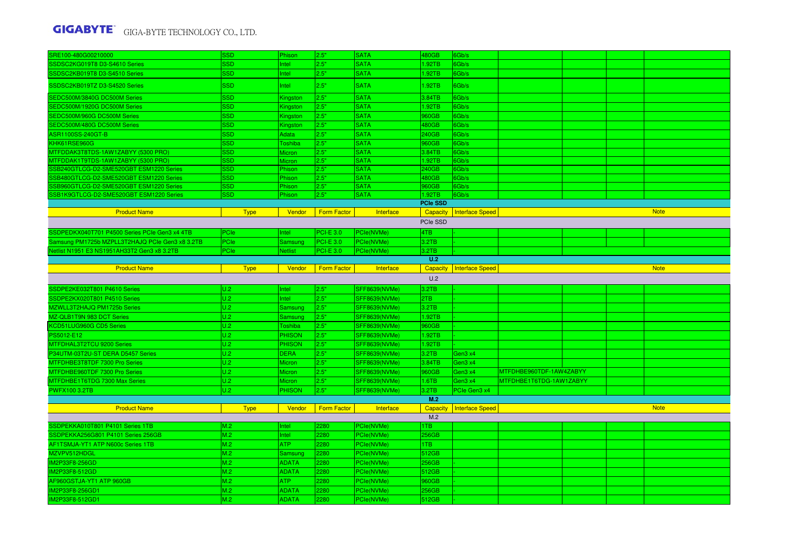| SRE100-480G00210000                             | SSD         | Phison         | 2.5"               | <b>SATA</b>          | 480GB           | 6Gb/s                  |                         |  |             |
|-------------------------------------------------|-------------|----------------|--------------------|----------------------|-----------------|------------------------|-------------------------|--|-------------|
| SSDSC2KG019T8 D3-S4610 Series                   | <b>SSD</b>  | Intel          | 2.5"               | <b>SATA</b>          | 1.92TB          | 6Gb/s                  |                         |  |             |
| SSDSC2KB019T8 D3-S4510 Series                   | SSD         | Intel          | 2.5"               | <b>SATA</b>          | 1.92TB          | 6Gb/s                  |                         |  |             |
| SSDSC2KB019TZ D3-S4520 Series                   | <b>SSD</b>  | Intel          | 2.5"               | <b>SATA</b>          | 1.92TB          | 6Gb/s                  |                         |  |             |
| SEDC500M/3840G DC500M Series                    | <b>SSD</b>  | Kingston       | 2.5"               | <b>SATA</b>          | 3.84TB          | 6Gb/s                  |                         |  |             |
| SEDC500M/1920G DC500M Series                    | SSD         | Kingston       | 2.5"               | <b>SATA</b>          | 1.92TB          | 6Gb/s                  |                         |  |             |
| SEDC500M/960G DC500M Series                     | SSD         | Kingston       | 2.5"               | <b>SATA</b>          | 960GB           | 6Gb/s                  |                         |  |             |
| SEDC500M/480G DC500M Series                     | <b>SSD</b>  | Kingston       | 2.5"               | <b>SATA</b>          | 480GB           | 6Gb/s                  |                         |  |             |
| ASR1100SS-240GT-B                               | <b>SSD</b>  | Adata          | 2.5"               | <b>SATA</b>          | 240GB           | 6Gb/s                  |                         |  |             |
| KHK61RSE960G                                    | <b>SSD</b>  | Toshiba        | 2.5"               | <b>SATA</b>          | 960GB           | 6Gb/s                  |                         |  |             |
| MTFDDAK3T8TDS-1AW1ZABYY (5300 PRO)              | <b>SSD</b>  | <b>Micron</b>  | 2.5"               | <b>SATA</b>          | 3.84TB          | 6Gb/s                  |                         |  |             |
| MTFDDAK1T9TDS-1AW1ZABYY (5300 PRO)              | <b>SSD</b>  | <b>Micron</b>  | 2.5"               | <b>SATA</b>          | 1.92TB          | 6Gb/s                  |                         |  |             |
| SSB240GTLCG-D2-SME520GBT ESM1220 Series         | <b>SSD</b>  | Phison         | 2.5"               | <b>SATA</b>          | 240GB           | 6Gb/s                  |                         |  |             |
| SSB480GTLCG-D2-SME520GBT ESM1220 Series         | <b>SSD</b>  | Phison         | 2.5"               | <b>SATA</b>          | 480GB           | 6Gb/s                  |                         |  |             |
| SSB960GTLCG-D2-SME520GBT ESM1220 Series         | SSD         | Phison         | 2.5"               | <b>SATA</b>          | 960GB           | 6Gb/s                  |                         |  |             |
| SSB1K9GTLCG-D2-SME520GBT ESM1220 Series         | <b>SSD</b>  | Phison         | 2.5"               | <b>SATA</b>          | 1.92TB          | 6Gb/s                  |                         |  |             |
|                                                 |             |                |                    |                      | <b>PCIe SSD</b> |                        |                         |  |             |
| <b>Product Name</b>                             | <b>Type</b> | Vendor         | <b>Form Factor</b> | Interface            | Capacity        | <b>Interface Speed</b> |                         |  | <b>Note</b> |
|                                                 |             |                |                    |                      | PCIe SSD        |                        |                         |  |             |
| SSDPEDKX040T701 P4500 Series PCIe Gen3 x4 4TB   | PCIe        | Intel          | <b>PCI-E 3.0</b>   | PCle(NVMe)           | 4TB             |                        |                         |  |             |
| Samsung PM1725b MZPLL3T2HAJQ PCIe Gen3 x8 3.2TB | <b>PCIe</b> | Samsung        | $PCI-E$ 3.0        | PCle(NVMe)           | 3.2TB           |                        |                         |  |             |
| Netlist N1951 E3 NS1951AH33T2 Gen3 x8 3.2TB     | <b>PCIe</b> | <b>Netlist</b> | <b>PCI-E 3.0</b>   | PCle(NVMe)           | 3.2TB           |                        |                         |  |             |
|                                                 |             |                |                    |                      | U.2             |                        |                         |  |             |
| <b>Product Name</b>                             | <b>Type</b> | Vendor         | Form Factor        | Interface            | <b>Capacity</b> | Interface Speed        |                         |  | <b>Note</b> |
|                                                 |             |                |                    |                      |                 |                        |                         |  |             |
|                                                 |             |                |                    |                      |                 |                        |                         |  |             |
|                                                 |             |                |                    |                      | U.2             |                        |                         |  |             |
| SSDPE2KE032T801 P4610 Series                    | U.2         | Intel          | 2.5"               | SFF8639(NVMe)        | 3.2TB           |                        |                         |  |             |
| SSDPE2KX020T801 P4510 Series                    | U.2         | Intel          | 2.5"               | <b>SFF8639(NVMe)</b> | 2TB             |                        |                         |  |             |
| MZWLL3T2HAJQ PM1725b Series                     | U.2         | Samsung        | 2.5"               | <b>SFF8639(NVMe)</b> | 3.2TB           |                        |                         |  |             |
| MZ-QLB1T9N 983 DCT Series                       | U.2         | Samsung        | 2.5"               | <b>SFF8639(NVMe)</b> | 1.92TB          |                        |                         |  |             |
| KCD51LUG960G CD5 Series                         | U.2         | <b>Toshiba</b> | 2.5"               | <b>SFF8639(NVMe)</b> | 960GB           |                        |                         |  |             |
| PS5012-E12                                      | U.2         | <b>PHISON</b>  | 2.5"               | <b>SFF8639(NVMe)</b> | 1.92TB          |                        |                         |  |             |
| MTFDHAL3T2TCU 9200 Series                       | U.2         | <b>PHISON</b>  | 2.5"               | <b>SFF8639(NVMe)</b> | 1.92TB          |                        |                         |  |             |
| P34UTM-03T2U-ST DERA D5457 Series               | U.2         | <b>DERA</b>    | 2.5"               | SFF8639(NVMe)        | 3.2TB           | Gen3 x4                |                         |  |             |
| MTFDHBE3T8TDF 7300 Pro Series                   | U.2         | <b>Micron</b>  | 2.5"               | <b>SFF8639(NVMe)</b> | 3.84TB          | Gen3 x4                |                         |  |             |
| MTFDHBE960TDF 7300 Pro Series                   | U.2         | <b>Micron</b>  | 2.5"               | <b>SFF8639(NVMe)</b> | 960GB           | Gen3 x4                | MTFDHBE960TDF-1AW4ZABYY |  |             |
| MTFDHBE1T6TDG 7300 Max Series                   | U.2         | <b>Micron</b>  | 2.5"               | <b>SFF8639(NVMe)</b> | 1.6TB           | Gen3 x4                | MTFDHBE1T6TDG-1AW1ZABYY |  |             |
| <b>PWFX100 3.2TB</b>                            | U.2         | <b>PHISON</b>  | 2.5"               | <b>SFF8639(NVMe)</b> | 3.2TB           | PCIe Gen3 x4           |                         |  |             |
|                                                 |             |                |                    |                      | M.2             |                        |                         |  |             |
| <b>Product Name</b>                             | <b>Type</b> | Vendor         | <b>Form Factor</b> | Interface            | <b>Capacity</b> | Interface Speed        |                         |  | <b>Note</b> |
|                                                 |             |                |                    |                      | M.2             |                        |                         |  |             |
| SSDPEKKA010T801 P4101 Series 1TB                | M.2         | Intel          | 2280               | PCle(NVMe)           | 1TB             |                        |                         |  |             |
| SSDPEKKA256G801 P4101 Series 256GB              | M.2         | Intel          | 2280               | PCle(NVMe)           | 256GB           |                        |                         |  |             |
| AF1TSMJA-YT1 ATP N600c Series 1TB               | M.2         | <b>ATP</b>     | 2280               | PCle(NVMe)           | 1TB             |                        |                         |  |             |
| MZVPV512HDGL                                    | M.2         | Samsung        | 2280               | PCle(NVMe)           | 512GB           |                        |                         |  |             |
| IM2P33F8-256GD                                  | M.2         | <b>ADATA</b>   | 2280               | PCle(NVMe)           | 256GB           |                        |                         |  |             |
| IM2P33F8-512GD                                  | M.2         | <b>ADATA</b>   | 2280               | PCle(NVMe)           | 512GB           |                        |                         |  |             |
| AF960GSTJA-YT1 ATP 960GB                        | M.2         | ATP            | 2280               | PCle(NVMe)           | 960GB           |                        |                         |  |             |
| IM2P33F8-256GD1                                 | M.2         | <b>ADATA</b>   | 2280               | PCle(NVMe)           | 256GB           |                        |                         |  |             |